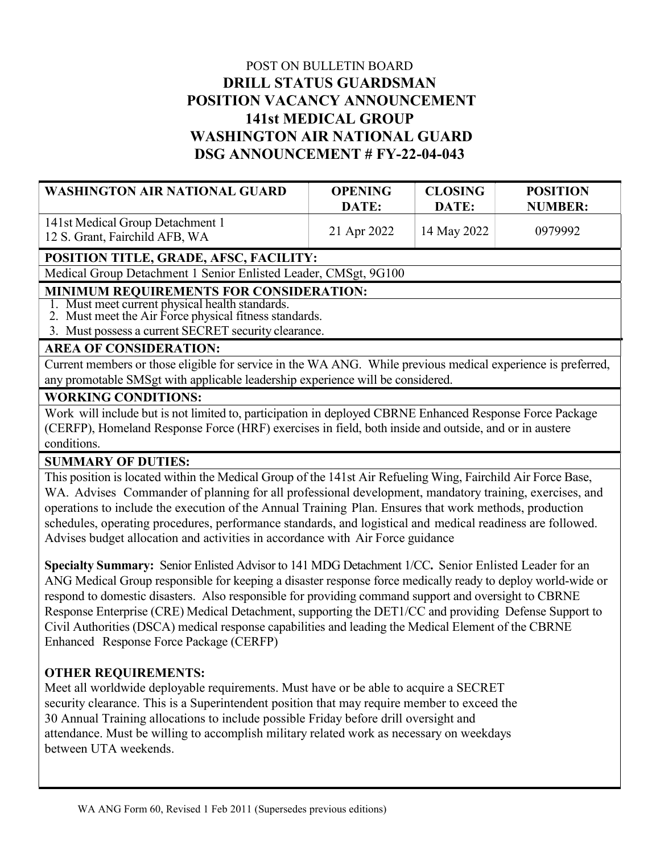# POST ON BULLETIN BOARD DRILL STATUS GUARDSMAN POSITION VACANCY ANNOUNCEMENT 141st MEDICAL GROUP WASHINGTON AIR NATIONAL GUARD DSG ANNOUNCEMENT # FY-22-04-043

| <b>WASHINGTON AIR NATIONAL GUARD</b>                               | <b>OPENING</b> | <b>CLOSING</b> | <b>POSITION</b> |
|--------------------------------------------------------------------|----------------|----------------|-----------------|
|                                                                    | DATE:          | DATE:          | <b>NUMBER:</b>  |
| 141st Medical Group Detachment 1<br>12 S. Grant, Fairchild AFB, WA | 21 Apr 2022    | 14 May 2022    | 0979992         |

## POSITION TITLE, GRADE, AFSC, FACILITY:

Medical Group Detachment 1 Senior Enlisted Leader, CMSgt, 9G100

#### MINIMUM REQUIREMENTS FOR CONSIDERATION:

1. Must meet current physical health standards.

2. Must meet the Air Force physical fitness standards.

3. Must possess a current SECRET security clearance.

## AREA OF CONSIDERATION:

Current members or those eligible for service in the WA ANG. While previous medical experience is preferred, any promotable SMSgt with applicable leadership experience will be considered.

#### WORKING CONDITIONS:

Work will include but is not limited to, participation in deployed CBRNE Enhanced Response Force Package (CERFP), Homeland Response Force (HRF) exercises in field, both inside and outside, and or in austere conditions.

#### SUMMARY OF DUTIES:

This position is located within the Medical Group of the 141st Air Refueling Wing, Fairchild Air Force Base, WA. Advises Commander of planning for all professional development, mandatory training, exercises, and operations to include the execution of the Annual Training Plan. Ensures that work methods, production schedules, operating procedures, performance standards, and logistical and medical readiness are followed. Advises budget allocation and activities in accordance with Air Force guidance

Specialty Summary: Senior Enlisted Advisor to 141 MDG Detachment 1/CC. Senior Enlisted Leader for an ANG Medical Group responsible for keeping a disaster response force medically ready to deploy world-wide or respond to domestic disasters. Also responsible for providing command support and oversight to CBRNE Response Enterprise (CRE) Medical Detachment, supporting the DET1/CC and providing Defense Support to Civil Authorities (DSCA) medical response capabilities and leading the Medical Element of the CBRNE Enhanced Response Force Package (CERFP)

### OTHER REQUIREMENTS:

Meet all worldwide deployable requirements. Must have or be able to acquire a SECRET security clearance. This is a Superintendent position that may require member to exceed the 30 Annual Training allocations to include possible Friday before drill oversight and attendance. Must be willing to accomplish military related work as necessary on weekdays between UTA weekends.